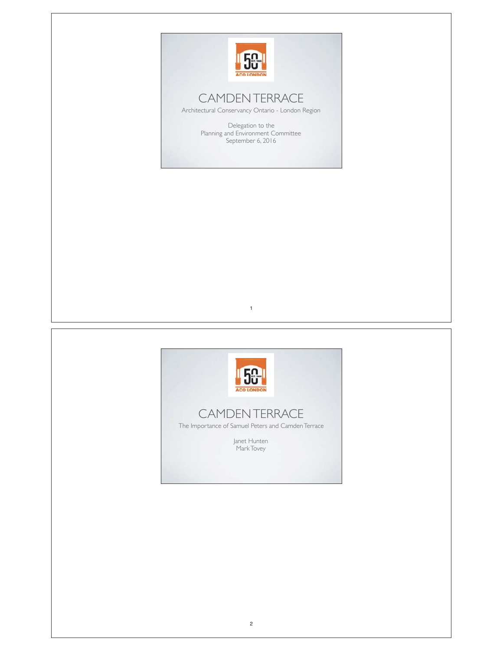

## CAMDEN TERRACE

Architectural Conservancy Ontario - London Region

Delegation to the Planning and Environment Committee September 6, 2016



1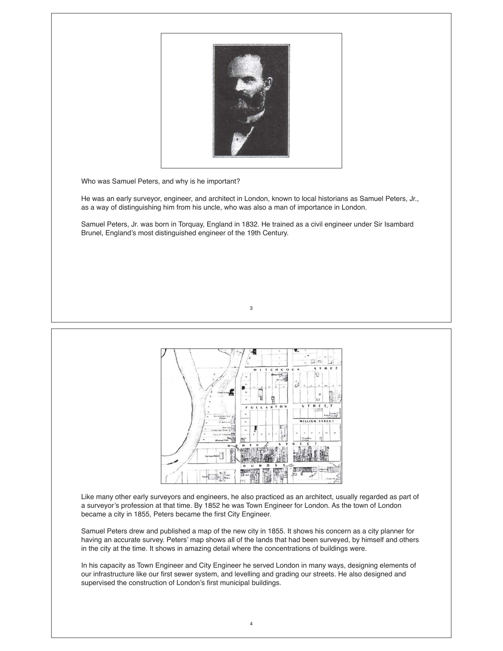

Who was Samuel Peters, and why is he important?

He was an early surveyor, engineer, and architect in London, known to local historians as Samuel Peters, Jr., as a way of distinguishing him from his uncle, who was also a man of importance in London.

Samuel Peters, Jr. was born in Torquay, England in 1832. He trained as a civil engineer under Sir Isambard Brunel, England's most distinguished engineer of the 19th Century.





Like many other early surveyors and engineers, he also practiced as an architect, usually regarded as part of a surveyor's profession at that time. By 1852 he was Town Engineer for London. As the town of London became a city in 1855, Peters became the first City Engineer.

Samuel Peters drew and published a map of the new city in 1855. It shows his concern as a city planner for having an accurate survey. Peters' map shows all of the lands that had been surveyed, by himself and others in the city at the time. It shows in amazing detail where the concentrations of buildings were.

In his capacity as Town Engineer and City Engineer he served London in many ways, designing elements of our infrastructure like our first sewer system, and levelling and grading our streets. He also designed and supervised the construction of London's first municipal buildings.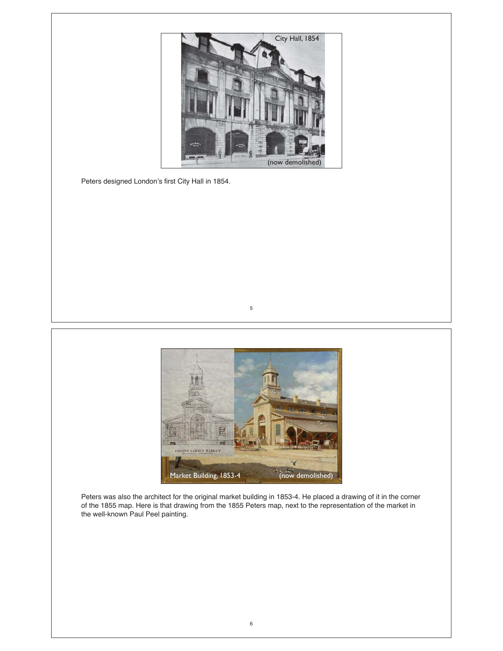

Peters designed London's first City Hall in 1854.



5

Peters was also the architect for the original market building in 1853-4. He placed a drawing of it in the corner of the 1855 map. Here is that drawing from the 1855 Peters map, next to the representation of the market in the well-known Paul Peel painting.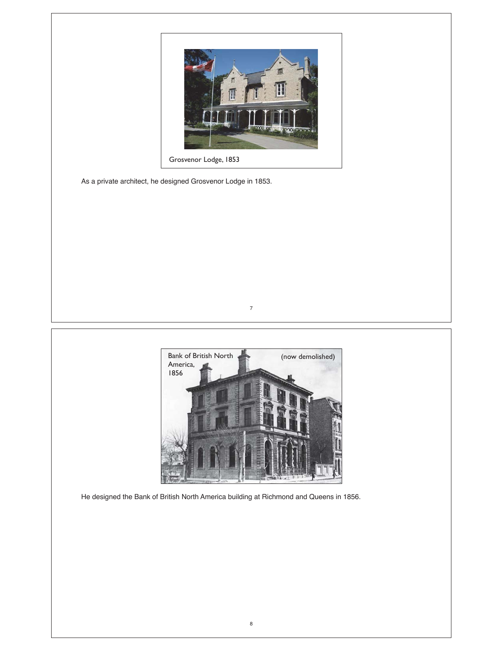

Grosvenor Lodge, 1853

As a private architect, he designed Grosvenor Lodge in 1853.



7

He designed the Bank of British North America building at Richmond and Queens in 1856.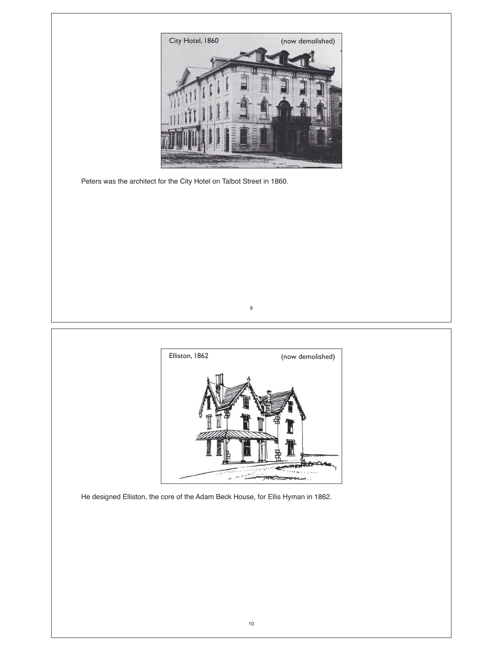

Peters was the architect for the City Hotel on Talbot Street in 1860.



9

He designed Elliston, the core of the Adam Beck House, for Ellis Hyman in 1862.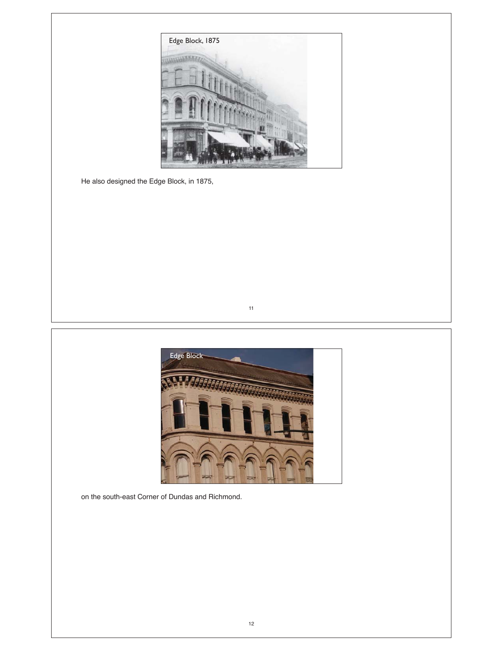

He also designed the Edge Block, in 1875,





on the south-east Corner of Dundas and Richmond.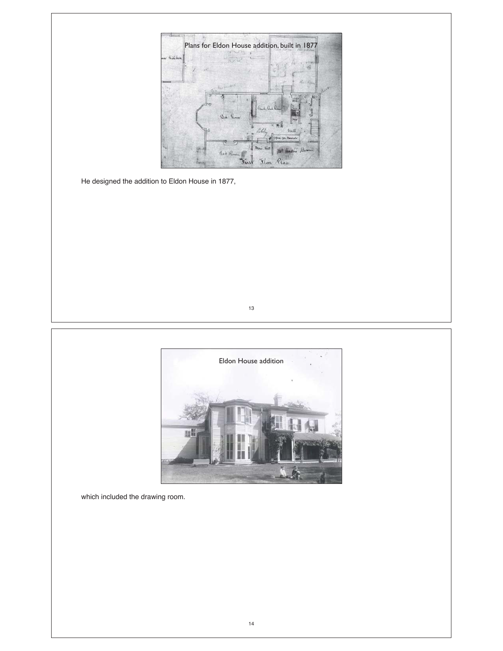

He designed the addition to Eldon House in 1877,





which included the drawing room.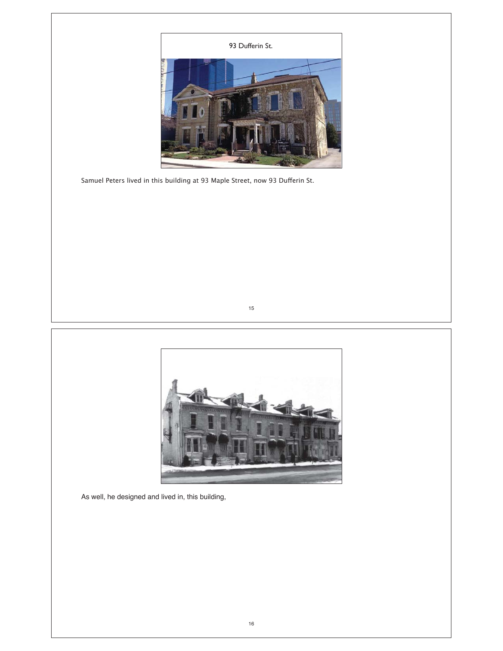

Samuel Peters lived in this building at 93 Maple Street, now 93 Dufferin St.





As well, he designed and lived in, this building,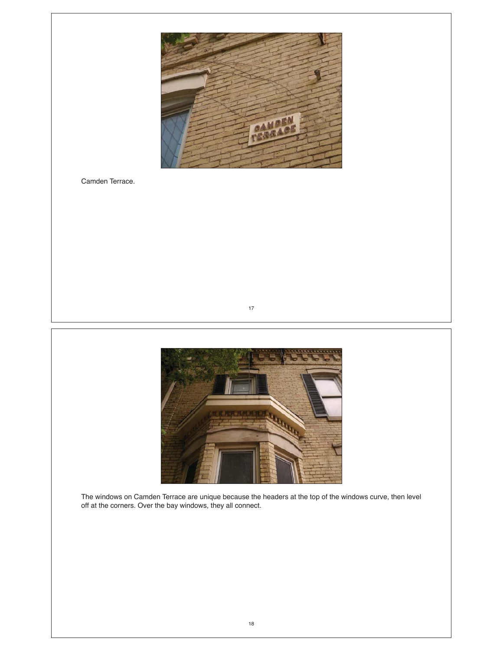

Camden Terrace.





The windows on Camden Terrace are unique because the headers at the top of the windows curve, then level off at the corners. Over the bay windows, they all connect.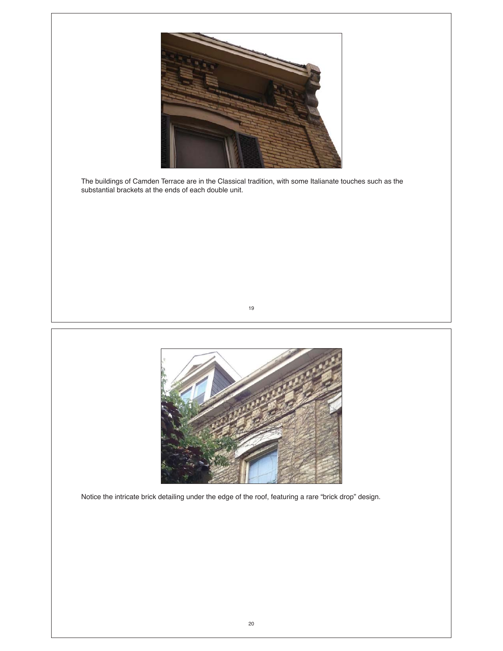

The buildings of Camden Terrace are in the Classical tradition, with some Italianate touches such as the substantial brackets at the ends of each double unit.





Notice the intricate brick detailing under the edge of the roof, featuring a rare "brick drop" design.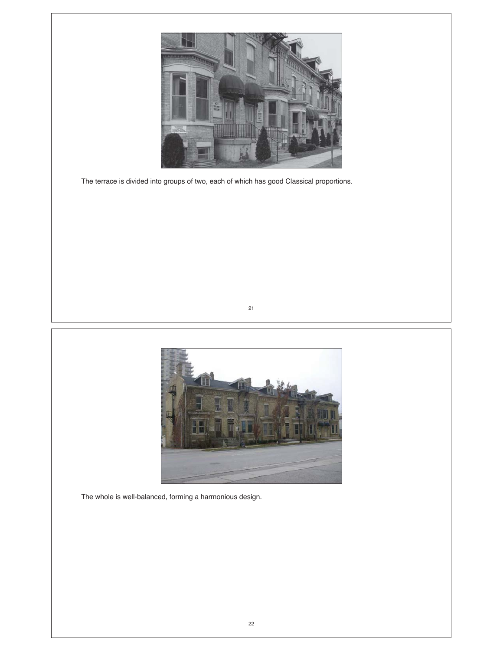

The terrace is divided into groups of two, each of which has good Classical proportions.





The whole is well-balanced, forming a harmonious design.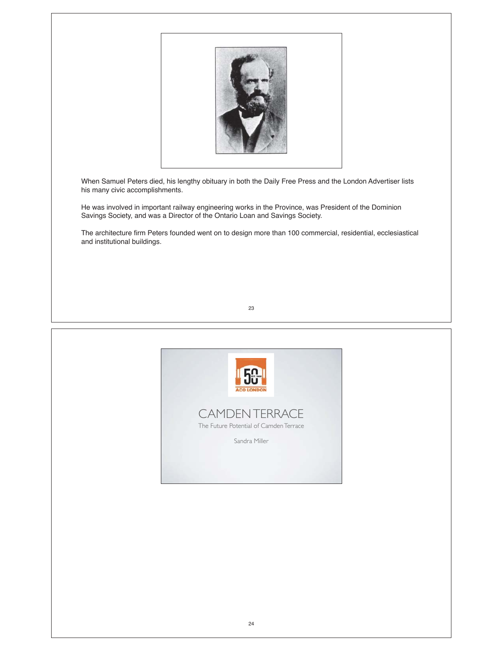

When Samuel Peters died, his lengthy obituary in both the Daily Free Press and the London Advertiser lists his many civic accomplishments.

He was involved in important railway engineering works in the Province, was President of the Dominion Savings Society, and was a Director of the Ontario Loan and Savings Society.

The architecture firm Peters founded went on to design more than 100 commercial, residential, ecclesiastical and institutional buildings.



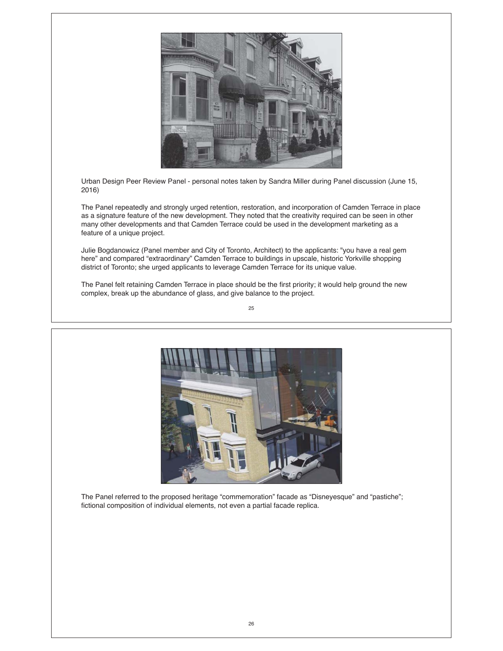

Urban Design Peer Review Panel - personal notes taken by Sandra Miller during Panel discussion (June 15, 2016)

The Panel repeatedly and strongly urged retention, restoration, and incorporation of Camden Terrace in place as a signature feature of the new development. They noted that the creativity required can be seen in other many other developments and that Camden Terrace could be used in the development marketing as a feature of a unique project.

Julie Bogdanowicz (Panel member and City of Toronto, Architect) to the applicants: "you have a real gem here" and compared "extraordinary" Camden Terrace to buildings in upscale, historic Yorkville shopping district of Toronto; she urged applicants to leverage Camden Terrace for its unique value.

The Panel felt retaining Camden Terrace in place should be the first priority; it would help ground the new complex, break up the abundance of glass, and give balance to the project.





The Panel referred to the proposed heritage "commemoration" facade as "Disneyesque" and "pastiche"; fictional composition of individual elements, not even a partial facade replica.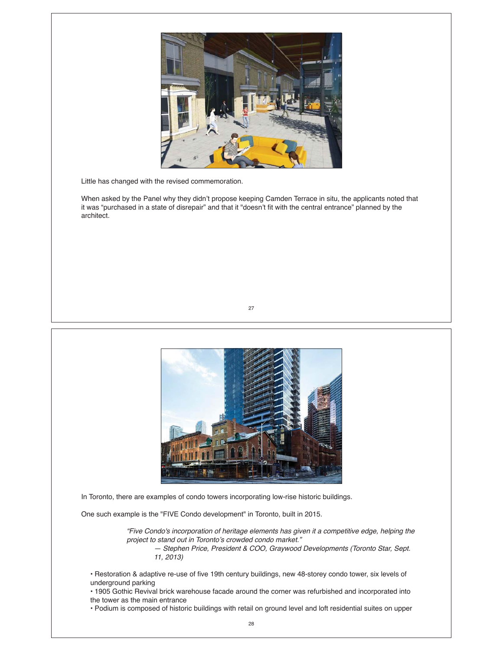

Little has changed with the revised commemoration.

When asked by the Panel why they didn't propose keeping Camden Terrace in situ, the applicants noted that it was "purchased in a state of disrepair" and that it "doesn't fit with the central entrance" planned by the architect.





In Toronto, there are examples of condo towers incorporating low-rise historic buildings.

One such example is the "FIVE Condo development" in Toronto, built in 2015.

*"Five Condo's incorporation of heritage elements has given it a competitive edge, helping the project to stand out in Toronto's crowded condo market."* 

*— Stephen Price, President & COO, Graywood Developments (Toronto Star, Sept. 11, 2013)*

• Restoration & adaptive re-use of five 19th century buildings, new 48-storey condo tower, six levels of underground parking

• 1905 Gothic Revival brick warehouse facade around the corner was refurbished and incorporated into the tower as the main entrance

• Podium is composed of historic buildings with retail on ground level and loft residential suites on upper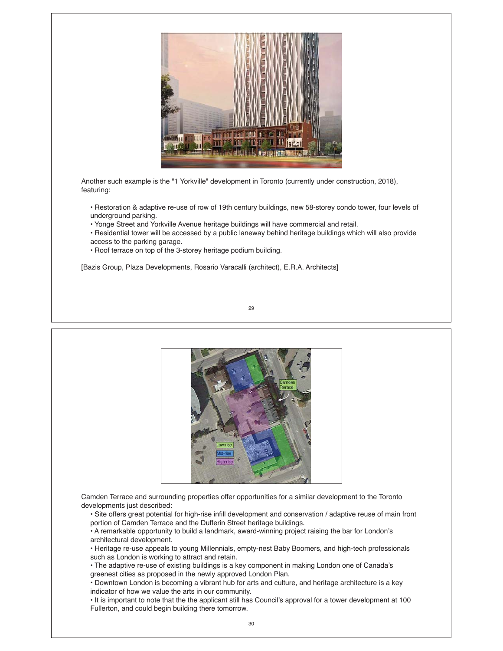

Another such example is the "1 Yorkville" development in Toronto (currently under construction, 2018), featuring:

• Restoration & adaptive re-use of row of 19th century buildings, new 58-storey condo tower, four levels of underground parking.

• Yonge Street and Yorkville Avenue heritage buildings will have commercial and retail.

• Residential tower will be accessed by a public laneway behind heritage buildings which will also provide

- access to the parking garage.
- Roof terrace on top of the 3-storey heritage podium building.

[Bazis Group, Plaza Developments, Rosario Varacalli (architect), E.R.A. Architects]



Camden Terrace and surrounding properties offer opportunities for a similar development to the Toronto developments just described:

• Site offers great potential for high-rise infill development and conservation / adaptive reuse of main front portion of Camden Terrace and the Dufferin Street heritage buildings.

• A remarkable opportunity to build a landmark, award-winning project raising the bar for London's architectural development.

• Heritage re-use appeals to young Millennials, empty-nest Baby Boomers, and high-tech professionals such as London is working to attract and retain.

• The adaptive re-use of existing buildings is a key component in making London one of Canada's greenest cities as proposed in the newly approved London Plan.

• Downtown London is becoming a vibrant hub for arts and culture, and heritage architecture is a key indicator of how we value the arts in our community.

• It is important to note that the the applicant still has Council's approval for a tower development at 100 Fullerton, and could begin building there tomorrow.